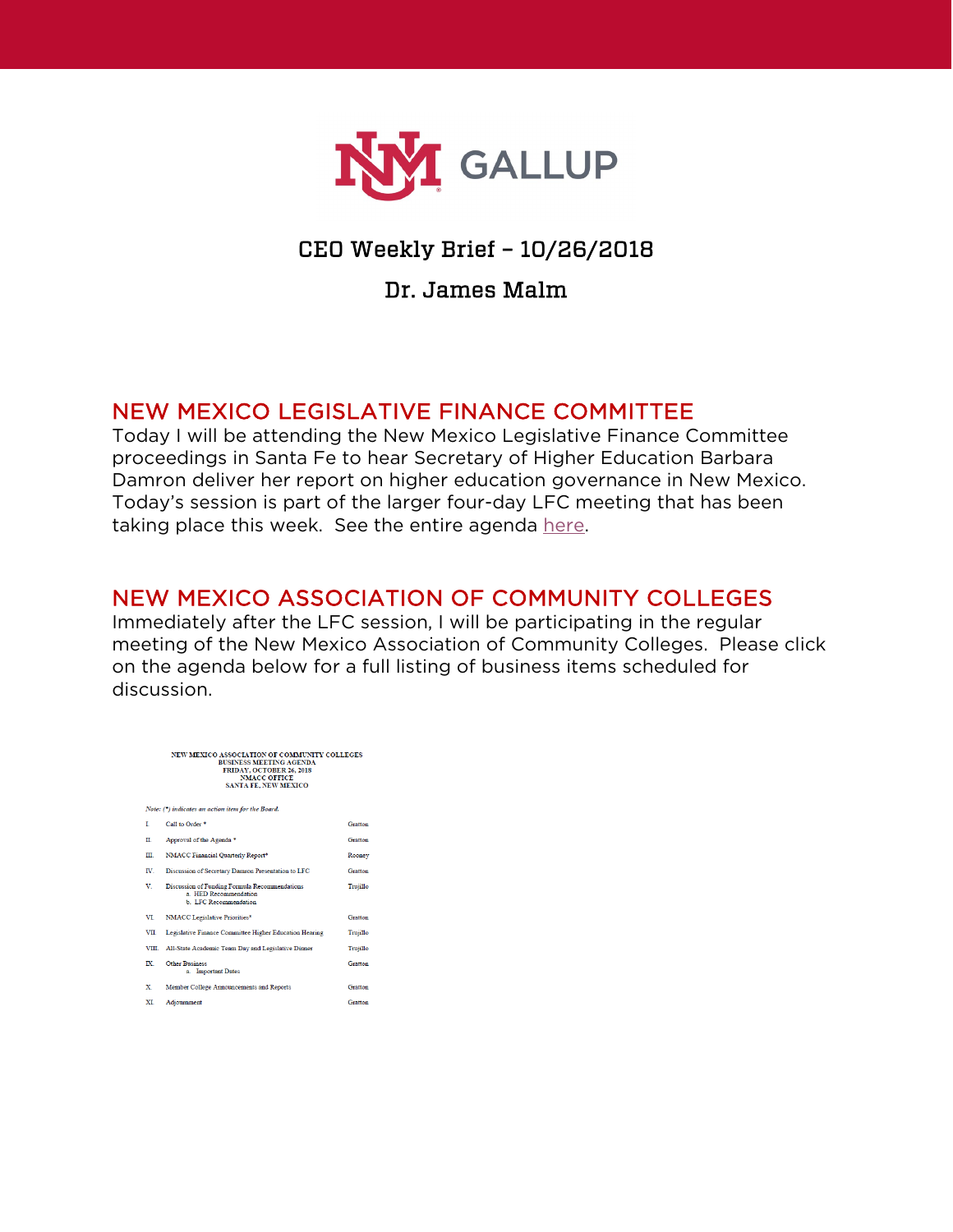

## CEO Weekly Brief – 10/26/2018

#### Dr. James Malm

#### NEW MEXICO LEGISLATIVE FINANCE COMMITTEE

Today I will be attending the New Mexico Legislative Finance Committee proceedings in Santa Fe to hear Secretary of Higher Education Barbara Damron deliver her report on higher education governance in New Mexico. Today's session is part of the larger four-day LFC meeting that has been taking place this week. See the entire agenda [here.](https://www.nmlegis.gov/agendas/ALFCageOct23.18.pdf)

## NEW MEXICO ASSOCIATION OF COMMUNITY COLLEGES

Immediately after the LFC session, I will be participating in the regular meeting of the New Mexico Association of Community Colleges. Please click on the agenda below for a full listing of business items scheduled for discussion.

| NEW MEXICO ASSOCIATION OF COMMUNITY COLLEGES<br><b>BUSINESS MEETING AGENDA</b><br>FRIDAY, OCTOBER 26, 2018<br><b>NMACC OFFICE</b><br><b>SANTA FE, NEW MEXICO</b> |                                                                                                      |          |
|------------------------------------------------------------------------------------------------------------------------------------------------------------------|------------------------------------------------------------------------------------------------------|----------|
| Note: (*) indicates an action item for the Board.                                                                                                                |                                                                                                      |          |
| т                                                                                                                                                                | Call to Order <sup>*</sup>                                                                           | Gratton  |
| П                                                                                                                                                                | Approval of the Agenda <sup>*</sup>                                                                  | Gratton  |
| Ш.                                                                                                                                                               | NMACC Financial Quarterly Report*                                                                    | Rooney   |
| IV.                                                                                                                                                              | Discussion of Secretary Damron Presentation to LFC                                                   | Gratton  |
| v                                                                                                                                                                | Discussion of Funding Formula Recommendations<br>a HED Recommendation<br><b>b LEC</b> Recommendation | Trujillo |
| VT                                                                                                                                                               | <b>NMACC</b> Legislative Priorities*                                                                 | Gratton  |
| VII.                                                                                                                                                             | Legislative Finance Committee Higher Education Hearing                                               | Trujillo |
| VIII.                                                                                                                                                            | All-State Academic Team Day and Legislative Dinner                                                   | Trujillo |
| IX.                                                                                                                                                              | <b>Other Business</b><br>a. Important Dates                                                          | Gratton  |
| X.                                                                                                                                                               | Member College Announcements and Reports                                                             | Gratton  |
| <b>XT</b>                                                                                                                                                        | Adjournment                                                                                          | Gratton  |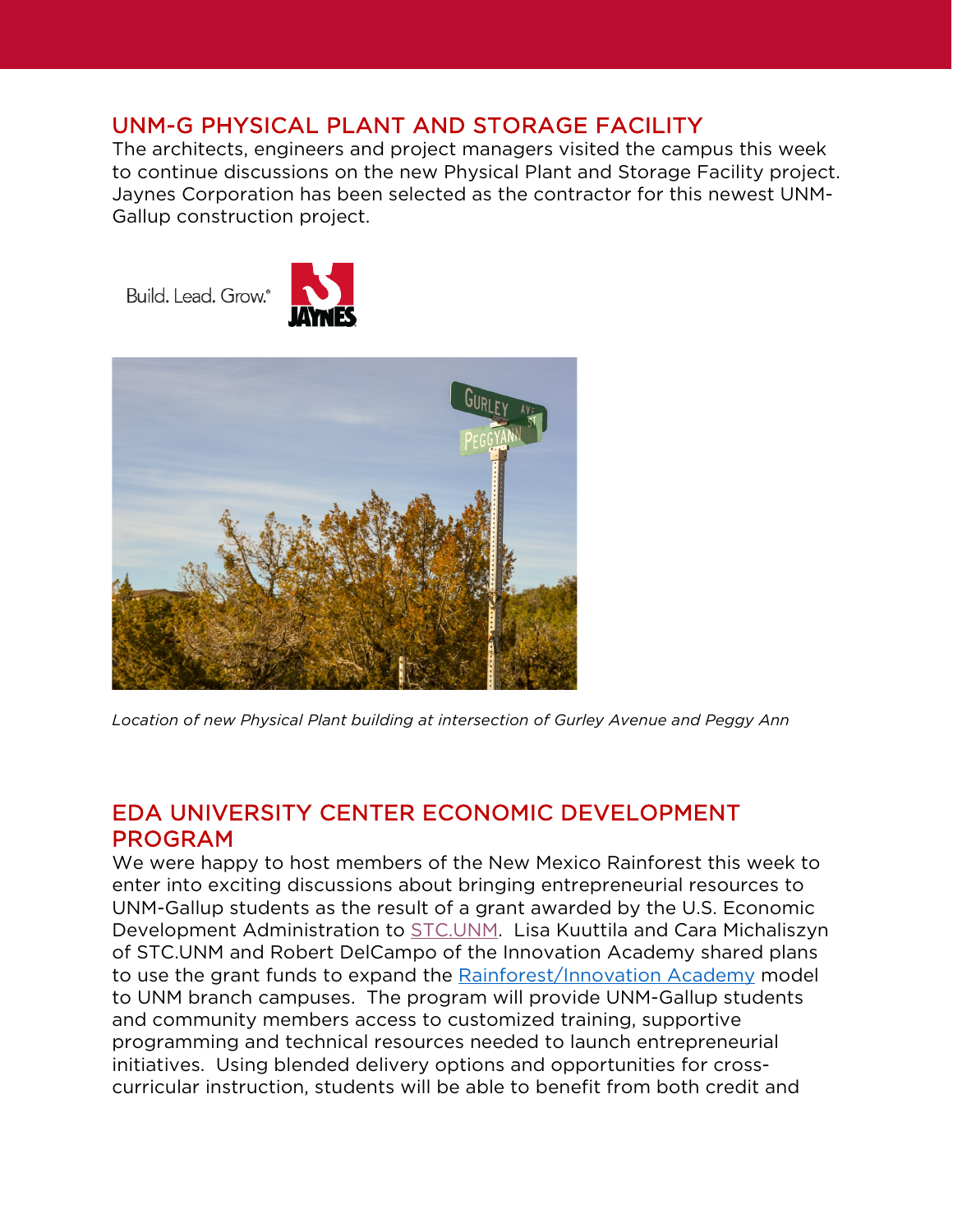#### UNM-G PHYSICAL PLANT AND STORAGE FACILITY

The architects, engineers and project managers visited the campus this week to continue discussions on the new Physical Plant and Storage Facility project. Jaynes Corporation has been selected as the contractor for this newest UNM-Gallup construction project.

Build. Lead. Grow.<sup>®</sup>





*Location of new Physical Plant building at intersection of Gurley Avenue and Peggy Ann* 

## EDA UNIVERSITY CENTER ECONOMIC DEVELOPMENT PROGRAM

We were happy to host members of the New Mexico Rainforest this week to enter into exciting discussions about bringing entrepreneurial resources to UNM-Gallup students as the result of a grant awarded by the U.S. Economic Development Administration to [STC.UNM.](https://stc.unm.edu/) Lisa Kuuttila and Cara Michaliszyn of STC.UNM and Robert DelCampo of the Innovation Academy shared plans to use the grant funds to expand the [Rainforest/Innovation Academy](https://innovationacademy.unm.edu/) model to UNM branch campuses. The program will provide UNM-Gallup students and community members access to customized training, supportive programming and technical resources needed to launch entrepreneurial initiatives. Using blended delivery options and opportunities for crosscurricular instruction, students will be able to benefit from both credit and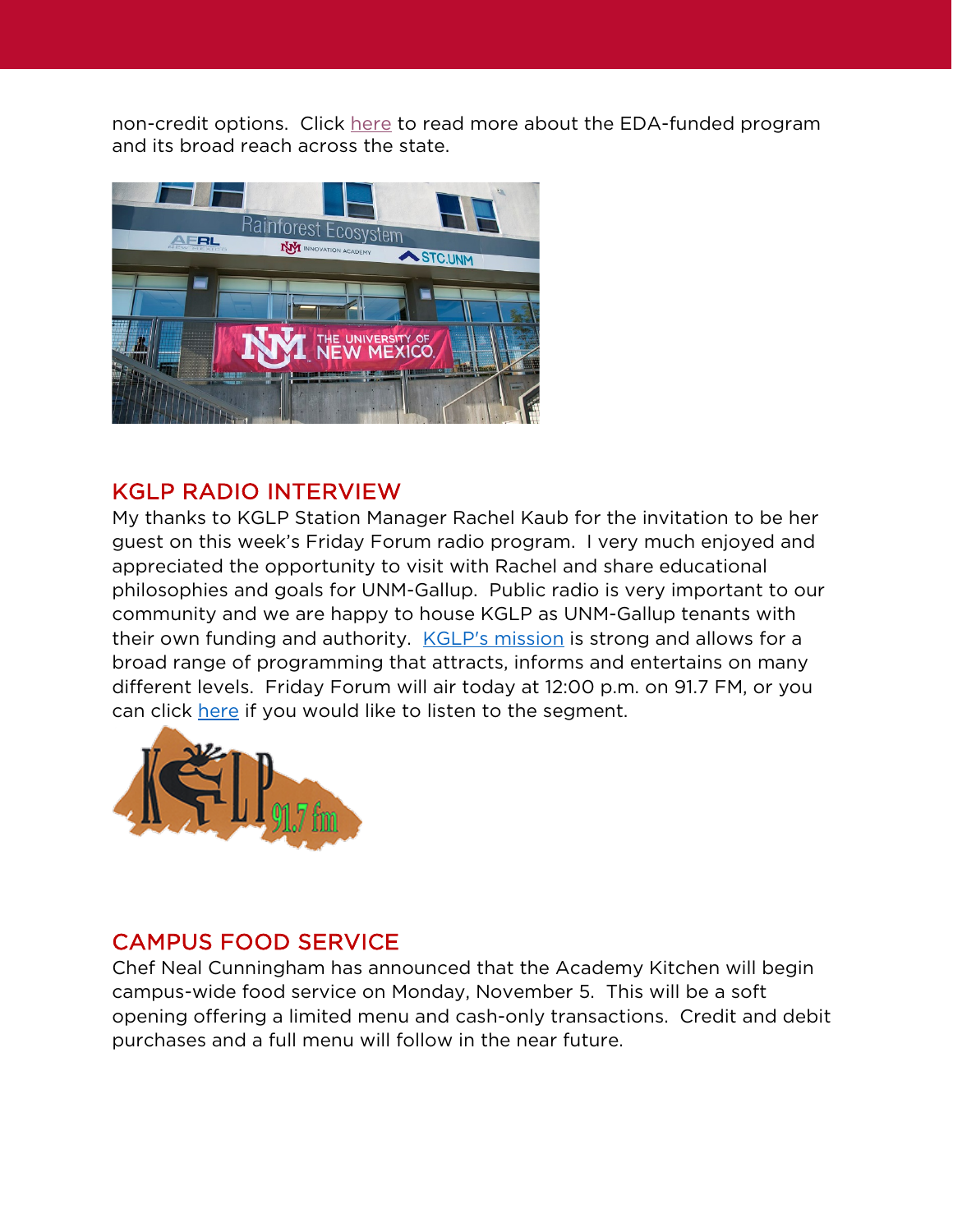non-credit options. Click [here](https://www.abqjournal.com/1229665/unm-san-juan-college-to-expand-entrepreneurship-programs.html?utm_source=email-a-story&utm_medium=email&utm_campaign=email-a-story) to read more about the EDA-funded program and its broad reach across the state.



## KGLP RADIO INTERVIEW

My thanks to KGLP Station Manager Rachel Kaub for the invitation to be her guest on this week's Friday Forum radio program. I very much enjoyed and appreciated the opportunity to visit with Rachel and share educational philosophies and goals for UNM-Gallup. Public radio is very important to our community and we are happy to house KGLP as UNM-Gallup tenants with their own funding and authority. **[KGLP's mission](https://www.kglp.org/about.html) is strong and allows for a** broad range of programming that attracts, informs and entertains on many different levels. Friday Forum will air today at 12:00 p.m. on 91.7 FM, or you can click [here](https://kglp.podbean.com/mf/play/f3rfhy/102618-Dr_JamesMalmCEO_UNMG.mp3) if you would like to listen to the segment.



# CAMPUS FOOD SERVICE

Chef Neal Cunningham has announced that the Academy Kitchen will begin campus-wide food service on Monday, November 5. This will be a soft opening offering a limited menu and cash-only transactions. Credit and debit purchases and a full menu will follow in the near future.